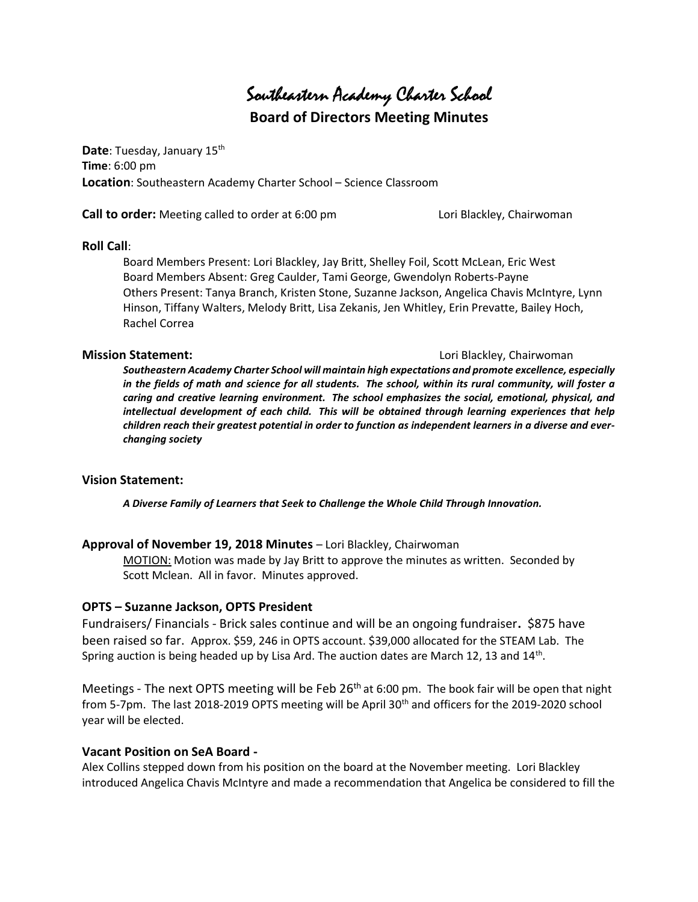Southeastern Academy Charter School

Board of Directors Meeting Minutes

Date: Tuesday, January 15<sup>th</sup> Time: 6:00 pm Location: Southeastern Academy Charter School – Science Classroom

**Call to order:** Meeting called to order at 6:00 pm Lori Blackley, Chairwoman

#### Roll Call:

Board Members Present: Lori Blackley, Jay Britt, Shelley Foil, Scott McLean, Eric West Board Members Absent: Greg Caulder, Tami George, Gwendolyn Roberts-Payne Others Present: Tanya Branch, Kristen Stone, Suzanne Jackson, Angelica Chavis McIntyre, Lynn Hinson, Tiffany Walters, Melody Britt, Lisa Zekanis, Jen Whitley, Erin Prevatte, Bailey Hoch, Rachel Correa

#### **Mission Statement: Lori Blackley, Chairwoman**

Southeastern Academy Charter School will maintain high expectations and promote excellence, especially in the fields of math and science for all students. The school, within its rural community, will foster a caring and creative learning environment. The school emphasizes the social, emotional, physical, and intellectual development of each child. This will be obtained through learning experiences that help children reach their greatest potential in order to function as independent learners in a diverse and everchanging society

### Vision Statement:

A Diverse Family of Learners that Seek to Challenge the Whole Child Through Innovation.

### Approval of November 19, 2018 Minutes – Lori Blackley, Chairwoman

MOTION: Motion was made by Jay Britt to approve the minutes as written. Seconded by Scott Mclean. All in favor. Minutes approved.

### OPTS – Suzanne Jackson, OPTS President

Fundraisers/ Financials - Brick sales continue and will be an ongoing fundraiser. \$875 have been raised so far. Approx. \$59, 246 in OPTS account. \$39,000 allocated for the STEAM Lab. The Spring auction is being headed up by Lisa Ard. The auction dates are March 12, 13 and 14<sup>th</sup>.

Meetings - The next OPTS meeting will be Feb 26<sup>th</sup> at 6:00 pm. The book fair will be open that night from 5-7pm. The last 2018-2019 OPTS meeting will be April 30<sup>th</sup> and officers for the 2019-2020 school year will be elected.

### Vacant Position on SeA Board -

Alex Collins stepped down from his position on the board at the November meeting. Lori Blackley introduced Angelica Chavis McIntyre and made a recommendation that Angelica be considered to fill the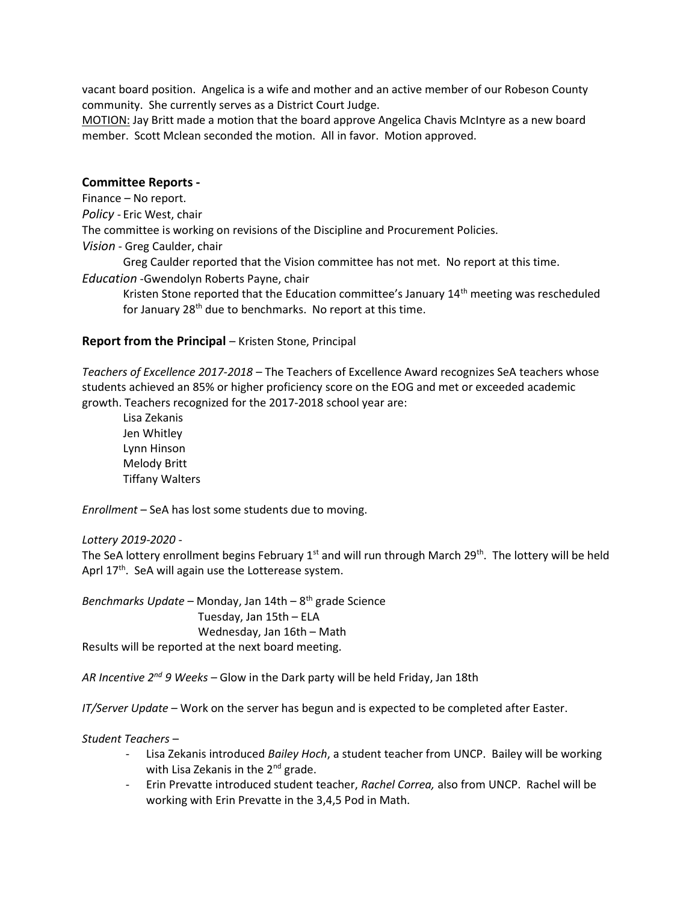vacant board position. Angelica is a wife and mother and an active member of our Robeson County community. She currently serves as a District Court Judge.

MOTION: Jay Britt made a motion that the board approve Angelica Chavis McIntyre as a new board member. Scott Mclean seconded the motion. All in favor. Motion approved.

#### Committee Reports -

Finance – No report.

Policy - Eric West, chair

The committee is working on revisions of the Discipline and Procurement Policies.

Vision - Greg Caulder, chair

Greg Caulder reported that the Vision committee has not met. No report at this time.

Education -Gwendolyn Roberts Payne, chair

Kristen Stone reported that the Education committee's January 14<sup>th</sup> meeting was rescheduled for January 28<sup>th</sup> due to benchmarks. No report at this time.

#### Report from the Principal – Kristen Stone, Principal

Teachers of Excellence 2017-2018 – The Teachers of Excellence Award recognizes SeA teachers whose students achieved an 85% or higher proficiency score on the EOG and met or exceeded academic growth. Teachers recognized for the 2017-2018 school year are:

 Lisa Zekanis Jen Whitley Lynn Hinson Melody Britt Tiffany Walters

Enrollment – SeA has lost some students due to moving.

Lottery 2019-2020 -

The SeA lottery enrollment begins February 1<sup>st</sup> and will run through March 29<sup>th</sup>. The lottery will be held Aprl  $17<sup>th</sup>$ . SeA will again use the Lotterease system.

Benchmarks Update – Monday, Jan  $14th - 8<sup>th</sup>$  grade Science Tuesday, Jan 15th – ELA Wednesday, Jan 16th – Math Results will be reported at the next board meeting.

AR Incentive  $2^{nd}$  9 Weeks – Glow in the Dark party will be held Friday, Jan 18th

IT/Server Update – Work on the server has begun and is expected to be completed after Easter.

Student Teachers –

- Lisa Zekanis introduced Bailey Hoch, a student teacher from UNCP. Bailey will be working with Lisa Zekanis in the 2<sup>nd</sup> grade.
- Erin Prevatte introduced student teacher, Rachel Correa, also from UNCP. Rachel will be working with Erin Prevatte in the 3,4,5 Pod in Math.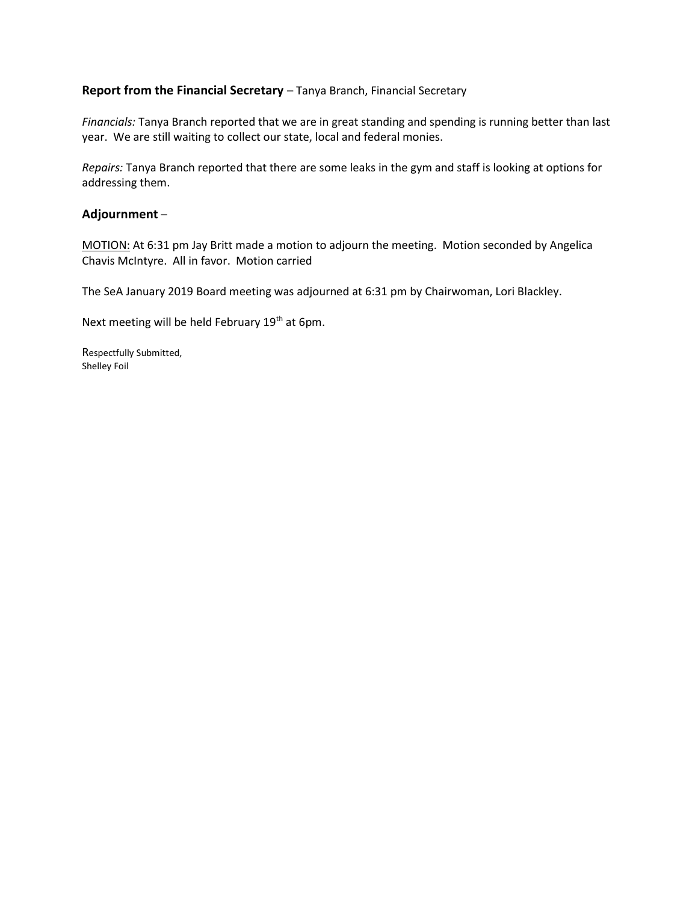## Report from the Financial Secretary - Tanya Branch, Financial Secretary

Financials: Tanya Branch reported that we are in great standing and spending is running better than last year. We are still waiting to collect our state, local and federal monies.

Repairs: Tanya Branch reported that there are some leaks in the gym and staff is looking at options for addressing them.

### Adjournment –

MOTION: At 6:31 pm Jay Britt made a motion to adjourn the meeting. Motion seconded by Angelica Chavis McIntyre. All in favor. Motion carried

The SeA January 2019 Board meeting was adjourned at 6:31 pm by Chairwoman, Lori Blackley.

Next meeting will be held February 19<sup>th</sup> at 6pm.

Respectfully Submitted, Shelley Foil